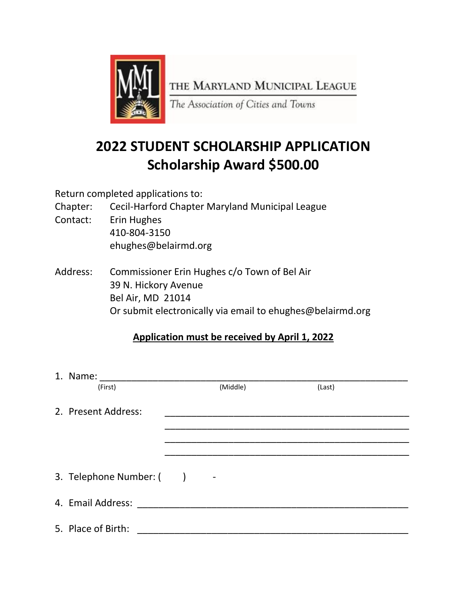

## **2022 STUDENT SCHOLARSHIP APPLICATION Scholarship Award \$500.00**

Return completed applications to:

- Chapter: Cecil-Harford Chapter Maryland Municipal League
- Contact: Erin Hughes 410-804-3150 ehughes@belairmd.org
- Address: Commissioner Erin Hughes c/o Town of Bel Air 39 N. Hickory Avenue Bel Air, MD 21014 Or submit electronically via email to ehughes@belairmd.org

## **Application must be received by April 1, 2022**

| 1. Name:                |  |                          |        |  |
|-------------------------|--|--------------------------|--------|--|
| (First)                 |  | (Middle)                 | (Last) |  |
| 2. Present Address:     |  |                          |        |  |
|                         |  |                          |        |  |
|                         |  |                          |        |  |
| 3. Telephone Number: () |  | $\overline{\phantom{a}}$ |        |  |
| 4. Email Address:       |  |                          |        |  |
| 5. Place of Birth:      |  |                          |        |  |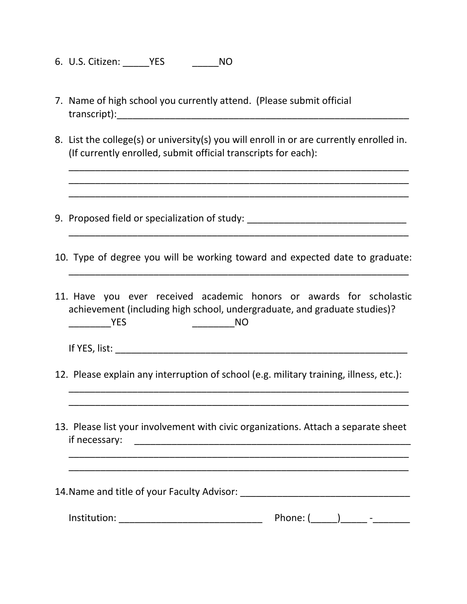- 6. U.S. Citizen: \_\_\_\_\_YES \_\_\_\_\_NO
- 7. Name of high school you currently attend. (Please submit official transcript):\_\_\_\_\_\_\_\_\_\_\_\_\_\_\_\_\_\_\_\_\_\_\_\_\_\_\_\_\_\_\_\_\_\_\_\_\_\_\_\_\_\_\_\_\_\_\_\_\_\_\_\_\_\_\_
- 8. List the college(s) or university(s) you will enroll in or are currently enrolled in. (If currently enrolled, submit official transcripts for each):

\_\_\_\_\_\_\_\_\_\_\_\_\_\_\_\_\_\_\_\_\_\_\_\_\_\_\_\_\_\_\_\_\_\_\_\_\_\_\_\_\_\_\_\_\_\_\_\_\_\_\_\_\_\_\_\_\_\_\_\_\_\_\_\_ \_\_\_\_\_\_\_\_\_\_\_\_\_\_\_\_\_\_\_\_\_\_\_\_\_\_\_\_\_\_\_\_\_\_\_\_\_\_\_\_\_\_\_\_\_\_\_\_\_\_\_\_\_\_\_\_\_\_\_\_\_\_\_\_ \_\_\_\_\_\_\_\_\_\_\_\_\_\_\_\_\_\_\_\_\_\_\_\_\_\_\_\_\_\_\_\_\_\_\_\_\_\_\_\_\_\_\_\_\_\_\_\_\_\_\_\_\_\_\_\_\_\_\_\_\_\_\_\_

- 9. Proposed field or specialization of study: \_\_\_\_\_\_\_\_\_\_\_\_\_\_\_\_\_\_\_\_\_\_\_\_\_\_\_\_\_\_\_\_\_\_
- 10. Type of degree you will be working toward and expected date to graduate:

\_\_\_\_\_\_\_\_\_\_\_\_\_\_\_\_\_\_\_\_\_\_\_\_\_\_\_\_\_\_\_\_\_\_\_\_\_\_\_\_\_\_\_\_\_\_\_\_\_\_\_\_\_\_\_\_\_\_\_\_\_\_\_\_

\_\_\_\_\_\_\_\_\_\_\_\_\_\_\_\_\_\_\_\_\_\_\_\_\_\_\_\_\_\_\_\_\_\_\_\_\_\_\_\_\_\_\_\_\_\_\_\_\_\_\_\_\_\_\_\_\_\_\_\_\_\_\_\_

- 11. Have you ever received academic honors or awards for scholastic achievement (including high school, undergraduate, and graduate studies)? \_\_\_\_\_\_\_\_YES \_\_\_\_\_\_\_\_NO
	- If YES, list:  $\blacksquare$
- 12. Please explain any interruption of school (e.g. military training, illness, etc.):

\_\_\_\_\_\_\_\_\_\_\_\_\_\_\_\_\_\_\_\_\_\_\_\_\_\_\_\_\_\_\_\_\_\_\_\_\_\_\_\_\_\_\_\_\_\_\_\_\_\_\_\_\_\_\_\_\_\_\_\_\_\_\_\_ \_\_\_\_\_\_\_\_\_\_\_\_\_\_\_\_\_\_\_\_\_\_\_\_\_\_\_\_\_\_\_\_\_\_\_\_\_\_\_\_\_\_\_\_\_\_\_\_\_\_\_\_\_\_\_\_\_\_\_\_\_\_\_\_

13. Please list your involvement with civic organizations. Attach a separate sheet if necessary: \_\_\_\_\_\_\_\_\_\_\_\_\_\_\_\_\_\_\_\_\_\_\_\_\_\_\_\_\_\_\_\_\_\_\_\_\_\_\_\_\_\_\_\_\_\_\_\_\_\_\_\_

\_\_\_\_\_\_\_\_\_\_\_\_\_\_\_\_\_\_\_\_\_\_\_\_\_\_\_\_\_\_\_\_\_\_\_\_\_\_\_\_\_\_\_\_\_\_\_\_\_\_\_\_\_\_\_\_\_\_\_\_\_\_\_\_ \_\_\_\_\_\_\_\_\_\_\_\_\_\_\_\_\_\_\_\_\_\_\_\_\_\_\_\_\_\_\_\_\_\_\_\_\_\_\_\_\_\_\_\_\_\_\_\_\_\_\_\_\_\_\_\_\_\_\_\_\_\_\_\_

| 14. Name and title of your Faculty Advisor: |  |
|---------------------------------------------|--|
|                                             |  |

| Institution: | Jhnna:<br>TIJUHT. | - |
|--------------|-------------------|---|
|--------------|-------------------|---|